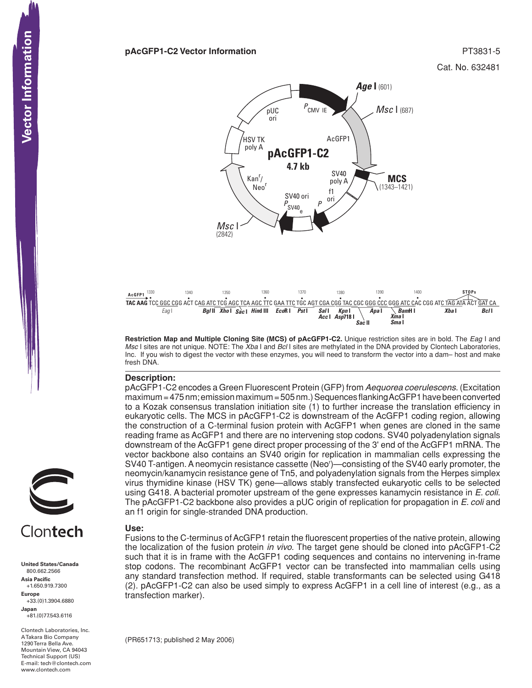#### **pAcGFP1-C2 Vector Information PT3831-5**





**Restriction Map and Multiple Cloning Site (MCS) of pAcGFP1-C2.** Unique restriction sites are in bold. The *Eag* I and *Msc* I sites are not unique. NOTE: The *Xba* I and *Bcl* I sites are methylated in the DNA provided by Clontech Laboratories, Inc. If you wish to digest the vector with these enzymes, you will need to transform the vector into a dam– host and make fresh DNA.

## **Description:**

pAcGFP1-C2 encodes a Green Fluorescent Protein (GFP) from *Aequorea coerulescens*. (Excitation maximum = 475 nm; emission maximum = 505 nm.) Sequences flanking AcGFP1 have been converted to a Kozak consensus translation initiation site (1) to further increase the translation efficiency in eukaryotic cells. The MCS in pAcGFP1-C2 is downstream of the AcGFP1 coding region, allowing the construction of a C-terminal fusion protein with AcGFP1 when genes are cloned in the same reading frame as AcGFP1 and there are no intervening stop codons. SV40 polyadenylation signals downstream of the AcGFP1 gene direct proper processing of the 3' end of the AcGFP1 mRNA. The vector backbone also contains an SV40 origin for replication in mammalian cells expressing the SV40 T-antigen. A neomycin resistance cassette (Neor )—consisting of the SV40 early promoter, the neomycin/kanamycin resistance gene of Tn5, and polyadenylation signals from the Herpes simplex virus thymidine kinase (HSV TK) gene—allows stably transfected eukaryotic cells to be selected using G418. A bacterial promoter upstream of the gene expresses kanamycin resistance in *E. coli*. The pAcGFP1-C2 backbone also provides a pUC origin of replication for propagation in *E. coli* and an f1 origin for single-stranded DNA production.

## **Use:**

Fusions to the C-terminus of AcGFP1 retain the fluorescent properties of the native protein, allowing the localization of the fusion protein *in vivo*. The target gene should be cloned into pAcGFP1-C2 such that it is in frame with the AcGFP1 coding sequences and contains no intervening in-frame stop codons. The recombinant AcGFP1 vector can be transfected into mammalian cells using any standard transfection method. If required, stable transformants can be selected using G418 (2). pAcGFP1-C2 can also be used simply to express AcGFP1 in a cell line of interest (e.g., as a transfection marker).

(PR651713; published 2 May 2006)



# Clontech

**United States/Canada** 800.662.2566 **Asia Pacific** +1.650.919.7300 **Europe** +33.(0)1.3904.6880 **Japan** +81.(0)77.543.6116 **CONTECTS**<br>
United States/Cana<br>
800.662.2566<br>
Asia Pacific<br>
+1.650.919.7300<br>
Happe Europe<br>
+33.(0)1.3904.688<br>
Japan<br>
-81.(0)77.543.6116<br>
A Takara Bio Compa<br>
Mountain View, CA<br>
Hechnical Support (<br>
Hechnical Support (<br>
Hech

Clontech Laboratories, Inc. A Takara Bio Company 1290 Terra Bella Ave. Mountain View, CA 94043 Technical Support (US) E-mail: tech@clontech.com<br>www.clontech.com